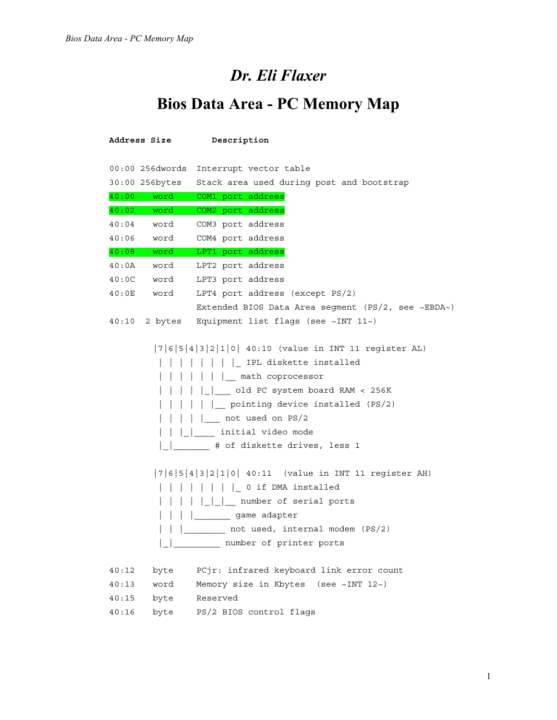## *Dr. Eli Flaxer*

## **Bios Data Area - PC Memory Map**

|       | Address Size    | Description                                                                                                                                                                                                                                                                                                                                                                                                                                                                    |
|-------|-----------------|--------------------------------------------------------------------------------------------------------------------------------------------------------------------------------------------------------------------------------------------------------------------------------------------------------------------------------------------------------------------------------------------------------------------------------------------------------------------------------|
|       | 00:00 256dwords | Interrupt vector table                                                                                                                                                                                                                                                                                                                                                                                                                                                         |
|       | 30:00 256bytes  | Stack area used during post and bootstrap                                                                                                                                                                                                                                                                                                                                                                                                                                      |
|       | 40:00 word      | COM1 port address                                                                                                                                                                                                                                                                                                                                                                                                                                                              |
| 40:02 | word            | COM2 port address                                                                                                                                                                                                                                                                                                                                                                                                                                                              |
| 40:04 | word            | COM3 port address                                                                                                                                                                                                                                                                                                                                                                                                                                                              |
| 40:06 | word            | COM4 port address                                                                                                                                                                                                                                                                                                                                                                                                                                                              |
|       | $40:08$ word    | LPT1 port address                                                                                                                                                                                                                                                                                                                                                                                                                                                              |
| 40:0A | word            | LPT2 port address                                                                                                                                                                                                                                                                                                                                                                                                                                                              |
| 40:0C | word            | LPT3 port address                                                                                                                                                                                                                                                                                                                                                                                                                                                              |
| 40:0E | word            | LPT4 port address (except PS/2)                                                                                                                                                                                                                                                                                                                                                                                                                                                |
|       |                 | Extended BIOS Data Area segment (PS/2, see ~EBDA~)                                                                                                                                                                                                                                                                                                                                                                                                                             |
| 40:10 | 2 bytes         | Equipment list flags (see $~\sim$ INT 11 $~\sim$ )                                                                                                                                                                                                                                                                                                                                                                                                                             |
|       |                 | $ 7 6 5 4 3 2 1 0 40:10$ (value in INT 11 register AL)<br>    IPL diskette installed<br>    math coprocessor<br> ___ old PC system board RAM < 256K<br>    pointing device installed (PS/2)<br>  not used on PS/2<br>    initial video mode<br># of diskette drives, less 1<br>$ 7 6 5 4 3 2 1 0 40:11$ (value in INT 11 register AH)<br>    0 if DMA installed<br>    number of serial ports<br>game adapter<br>not used, internal modem (PS/2)<br>__ number of printer ports |
| 40:12 | byte            | PCjr: infrared keyboard link error count                                                                                                                                                                                                                                                                                                                                                                                                                                       |
| 40:13 | word            | Memory size in Kbytes (see ~INT 12~)                                                                                                                                                                                                                                                                                                                                                                                                                                           |
| 40:15 | byte            | Reserved                                                                                                                                                                                                                                                                                                                                                                                                                                                                       |
| 40:16 | byte            | PS/2 BIOS control flags                                                                                                                                                                                                                                                                                                                                                                                                                                                        |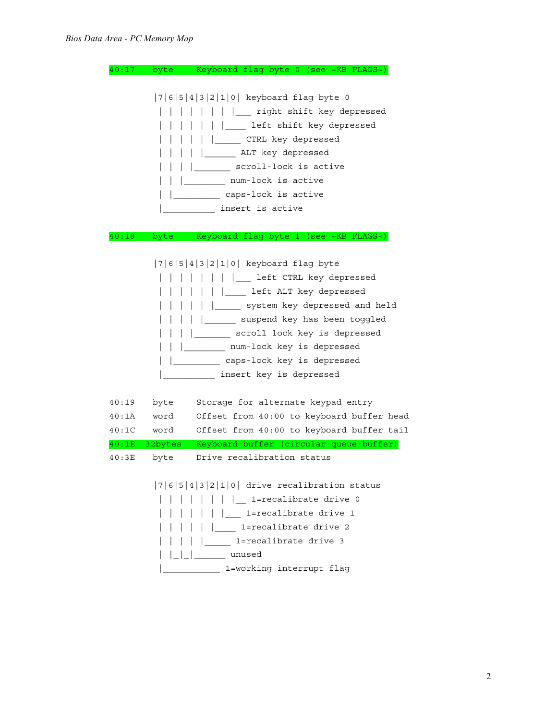| 40:17          | Keyboard flag byte 0 (see ~KB FLAGS~)<br>byte                                                                                                                                                                                                                                                                                                                                         |
|----------------|---------------------------------------------------------------------------------------------------------------------------------------------------------------------------------------------------------------------------------------------------------------------------------------------------------------------------------------------------------------------------------------|
|                | $ 7 6 5 4 3 2 1 0 $ keyboard flag byte 0<br>  right shift key depressed<br>left shift key depressed<br>CTRL key depressed<br>ALT key depressed<br>scroll-lock is active<br>num-lock is active<br>caps-lock is active                                                                                                                                                                  |
|                | insert is active                                                                                                                                                                                                                                                                                                                                                                      |
|                |                                                                                                                                                                                                                                                                                                                                                                                       |
| 40:18          | Keyboard flag byte 1 (see ~KB FLAGS~)<br>byte                                                                                                                                                                                                                                                                                                                                         |
| 40:19<br>40:1A | $ 7 6 5 4 3 2 1 0 $ keyboard flag byte<br>left CTRL key depressed<br>left ALT key depressed<br>system key depressed and held<br>suspend key has been toggled<br>scroll lock key is depressed<br>num-lock key is depressed<br>caps-lock key is depressed<br>insert key is depressed<br>Storage for alternate keypad entry<br>byte<br>Offset from 40:00 to keyboard buffer head<br>word |
| 40:1C          | Offset from 40:00 to keyboard buffer tail<br>word                                                                                                                                                                                                                                                                                                                                     |
| 40:1E          | Keyboard buffer (circular queue buffer)<br>32bytes                                                                                                                                                                                                                                                                                                                                    |
| 40:3E          | Drive recalibration status<br>byte                                                                                                                                                                                                                                                                                                                                                    |
|                | $ 7 6 5 4 3 2 1 0 $ drive recalibration status<br>    1=recalibrate drive 0<br>  1=recalibrate drive 1<br>  1=recalibrate drive 2<br>1=recalibrate drive 3<br>and the contract of the con-<br>      unused<br>1=working interrupt flag                                                                                                                                                |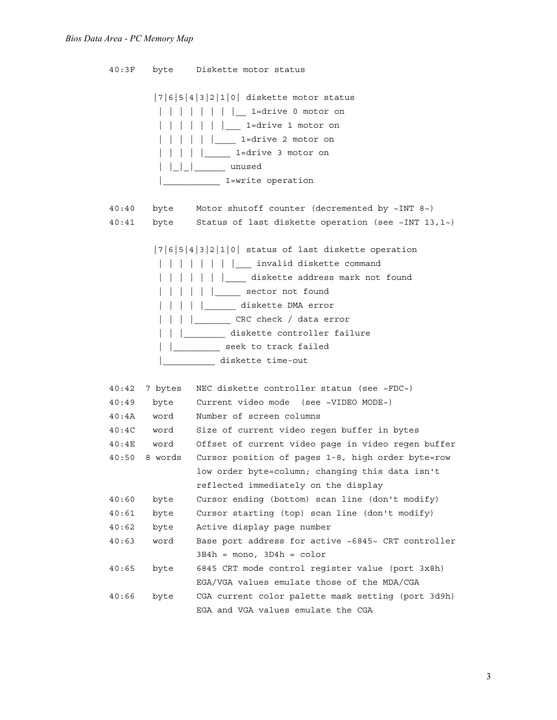40:3F byte Diskette motor status |7|6|5|4|3|2|1|0| diskette motor status | | | | | | | | <u>|</u> 1=drive 0 motor on | | | | | | | 1=drive 1 motor on | | | | | |\_\_\_\_ 1=drive 2 motor on | | | | <u>| | |</u> 1=drive 3 motor on | | | | unused |\_\_\_\_\_\_\_\_\_\_\_ 1=write operation 40:40 byte Motor shutoff counter (decremented by ~INT 8~) 40:41 byte Status of last diskette operation (see ~INT 13,1~) |7|6|5|4|3|2|1|0| status of last diskette operation | | | | | | | | |\_\_\_ invalid diskette command | | | | | | | diskette address mark not found | | | | | | sector not found | | | | | diskette DMA error | | | | <u>| | |</u> CRC check / data error | | |\_\_\_\_\_\_\_\_ diskette controller failure | | seek to track failed |\_\_\_\_\_\_\_\_\_\_ diskette time-out 40:42 7 bytes NEC diskette controller status (see ~FDC~) 40:49 byte Current video mode (see ~VIDEO MODE~) 40:4A word Number of screen columns 40:4C word Size of current video regen buffer in bytes 40:4E word Offset of current video page in video regen buffer 40:50 8 words Cursor position of pages 1-8, high order byte=row low order byte=column; changing this data isn't reflected immediately on the display 40:60 byte Cursor ending (bottom) scan line (don't modify) 40:61 byte Cursor starting (top) scan line (don't modify) 40:62 byte Active display page number 40:63 word Base port address for active ~6845~ CRT controller  $3B4h =$ mono,  $3D4h =$ color 40:65 byte 6845 CRT mode control register value (port 3x8h) EGA/VGA values emulate those of the MDA/CGA 40:66 byte CGA current color palette mask setting (port 3d9h) EGA and VGA values emulate the CGA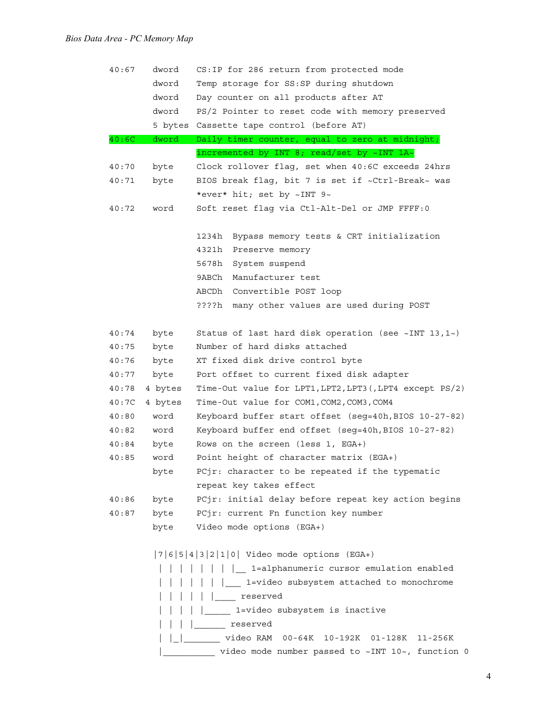| 40:67 | dword   | CS: IP for 286 return from protected mode                        |
|-------|---------|------------------------------------------------------------------|
|       | dword   | Temp storage for SS: SP during shutdown                          |
|       | dword   | Day counter on all products after AT                             |
|       | dword   | PS/2 Pointer to reset code with memory preserved                 |
|       |         | 5 bytes Cassette tape control (before AT)                        |
| 40:6C | dword   | Daily timer counter, equal to zero at midnight;                  |
|       |         | incremented by INT 8; read/set by ~INT 1A~                       |
| 40:70 | byte    | Clock rollover flag, set when 40:6C exceeds 24hrs                |
| 40:71 | byte    | BIOS break flag, bit 7 is set if ~Ctrl-Break~ was                |
|       |         | *ever* hit; set by ~INT 9~                                       |
| 40:72 | word    | Soft reset flag via Ctl-Alt-Del or JMP FFFF: 0                   |
|       |         | Bypass memory tests & CRT initialization<br>1234h                |
|       |         | 4321h<br>Preserve memory                                         |
|       |         | 5678h<br>System suspend                                          |
|       |         | 9ABCh<br>Manufacturer test                                       |
|       |         | ABCDh Convertible POST loop                                      |
|       |         | many other values are used during POST<br>????h                  |
| 40:74 | byte    | Status of last hard disk operation (see $\sim$ INT 13,1 $\sim$ ) |
| 40:75 | byte    | Number of hard disks attached                                    |
| 40:76 | byte    | XT fixed disk drive control byte                                 |
| 40:77 | byte    | Port offset to current fixed disk adapter                        |
| 40:78 | 4 bytes | Time-Out value for LPT1, LPT2, LPT3 (, LPT4 except PS/2)         |
| 40:7C | 4 bytes | Time-Out value for COM1, COM2, COM3, COM4                        |
| 40:80 | word    | Keyboard buffer start offset (seg=40h, BIOS 10-27-82)            |
| 40:82 | word    | Keyboard buffer end offset (seg=40h, BIOS 10-27-82)              |
| 40:84 | byte    | Rows on the screen (less 1, EGA+)                                |
| 40:85 | word    | Point height of character matrix (EGA+)                          |
|       | bvte    | PCir: character to be repeated if the typematic                  |
|       |         | repeat key takes effect                                          |
| 40:86 | byte    | PCjr: initial delay before repeat key action begins              |
| 40:87 | byte    | PCjr: current Fn function key number                             |
|       | byte    | Video mode options (EGA+)                                        |
|       |         | $ 7 6 5 4 3 2 1 0 $ Video mode options (EGA+)                    |
|       |         | 1=alphanumeric cursor emulation enabled                          |
|       |         | 1=video subsystem attached to monochrome                         |
|       |         | reserved                                                         |
|       |         | 1=video subsystem is inactive                                    |
|       |         | reserved                                                         |
|       |         | video RAM 00-64K 10-192K 01-128K<br>$11 - 256K$                  |

|\_\_\_\_\_\_\_\_\_\_\_\_\_ video mode number passed to ~INT 10~, function 0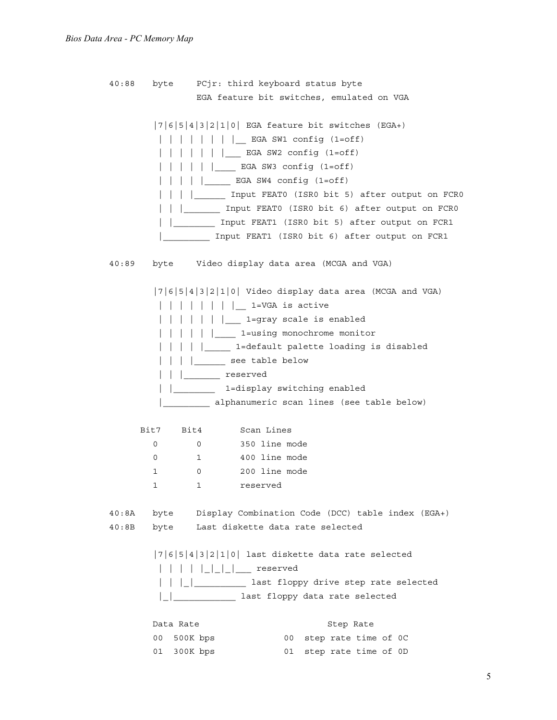40:88 byte PCjr: third keyboard status byte EGA feature bit switches, emulated on VGA |7|6|5|4|3|2|1|0| EGA feature bit switches (EGA+) | | | | | | | |\_\_ EGA SW1 config (1=off) | | | | | | | \_\_\_ EGA SW2 config (1=off) | | | | | | EGA SW3 config (1=off) | | | | |\_\_\_\_\_ EGA SW4 config (1=off) | | | |\_\_\_\_\_\_ Input FEAT0 (ISR0 bit 5) after output on FCR0 | | | | Input FEAT0 (ISR0 bit 6) after output on FCR0 | |\_\_\_\_\_\_\_\_ Input FEAT1 (ISR0 bit 5) after output on FCR1 |\_\_\_\_\_\_\_\_\_ Input FEAT1 (ISR0 bit 6) after output on FCR1 40:89 byte Video display data area (MCGA and VGA) |7|6|5|4|3|2|1|0| Video display data area (MCGA and VGA) | | | | | | | | \_\_ 1=VGA is active | | | | | | | <u>|</u> 1=gray scale is enabled | | | | | <u>|</u> 1=using monochrome monitor | | | | | | 1=default palette loading is disabled | | | | <u>| |</u> see table below | | |\_\_\_\_\_\_\_ reserved | | | 1=display switching enabled |\_\_\_\_\_\_\_\_\_ alphanumeric scan lines (see table below) Bit7 Bit4 Scan Lines 0 0 350 line mode 0 1 400 line mode 1 0 200 line mode 1 1 reserved 40:8A byte Display Combination Code (DCC) table index (EGA+) 40:8B byte Last diskette data rate selected |7|6|5|4|3|2|1|0| last diskette data rate selected | | | | |\_|\_|\_|\_\_\_ reserved | | |\_|\_\_\_\_\_\_\_\_\_\_ last floppy drive step rate selected |\_|\_\_\_\_\_\_\_\_\_\_\_\_ last floppy data rate selected Data Rate Step Rate 00 500K bps 00 step rate time of 0C

01 300K bps 01 step rate time of 0D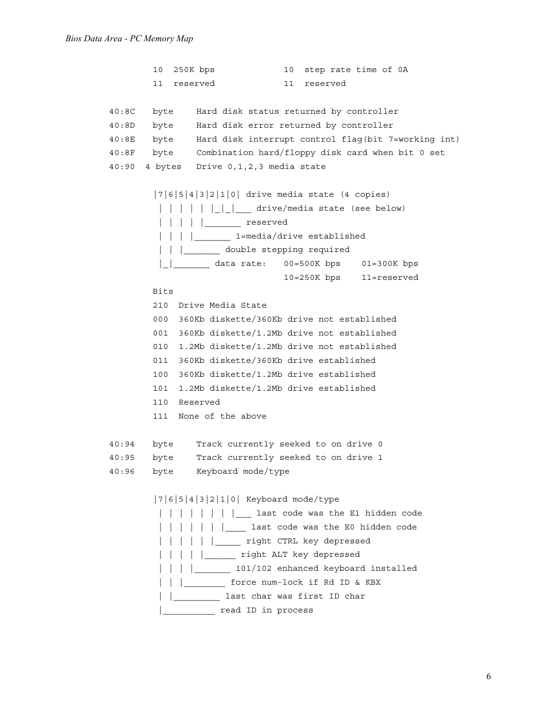```
10 250K bps 10 step rate time of 0A
        11 reserved 11 reserved
40:8C byte Hard disk status returned by controller
40:8D byte Hard disk error returned by controller
40:8E byte Hard disk interrupt control flag(bit 7=working int)
40:8F byte Combination hard/floppy disk card when bit 0 set
40:90 4 bytes Drive 0,1,2,3 media state
        |7|6|5|4|3|2|1|0| drive media state (4 copies)
         || || || || || || drive/media state (see below)
         | | | | | | <u>|</u> reserved
          | | | |_______ 1=media/drive established
         | | | | double stepping required
          |_|_______ data rate: 00=500K bps 01=300K bps
                                10=250K bps 11=reserved
        Bits
        210 Drive Media State
        000 360Kb diskette/360Kb drive not established
        001 360Kb diskette/1.2Mb drive not established
        010 1.2Mb diskette/1.2Mb drive not established
        011 360Kb diskette/360Kb drive established
        100 360Kb diskette/1.2Mb drive established
        101 1.2Mb diskette/1.2Mb drive established
        110 Reserved
        111 None of the above
40:94 byte Track currently seeked to on drive 0
40:95 byte Track currently seeked to on drive 1
40:96 byte Keyboard mode/type
        |7|6|5|4|3|2|1|0| Keyboard mode/type
          | | | | | | | |___ last code was the E1 hidden code
         | | | | | | | last code was the E0 hidden code
         | | | | | | <u>| | | | | right CTRL key depressed</u>
          | | | | |______ right ALT key depressed
          | | | |_______ 101/102 enhanced keyboard installed
          | | |________ force num-lock if Rd ID & KBX
          | |_________ last char was first ID char
         |___________ read ID in process
```